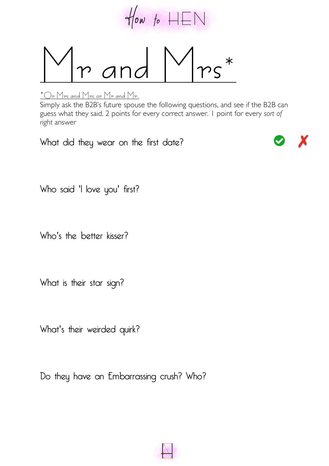

and  $M_{rs}$ 

## **\*Or Mrs and Mrs or Mr and Mr.**

Simply ask the B2B's future spouse the following questions, and see if the B2B can guess what they said. 2 points for every correct answer. 1 point for every *sort of right* answer

What did they wear on the first date?



Who said 'I love you' first?

Who's the better kisser?

What is their star sign?

What's their weirded quirk?

Do they have an Embarrassing crush? Who?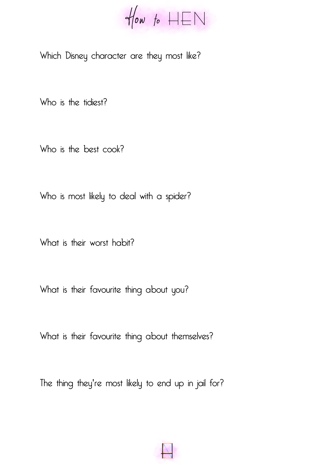$\forall$ low to  $HEN$ 

Which Disney character are they most like?

Who is the tidiest?

Who is the best cook?

Who is most likely to deal with a spider?

What is their worst habit?

What is their favourite thing about you?

What is their favourite thing about themselves?

The thing they're most likely to end up in jail for?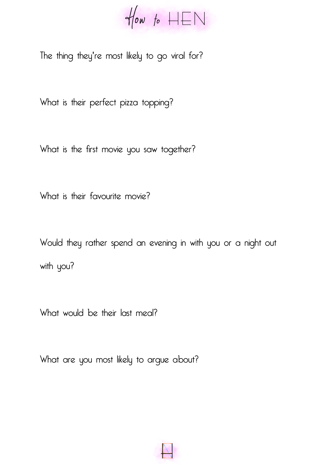$\forall$ low to  $HEN$ 

The thing they're most likely to go viral for?

What is their perfect pizza topping?

What is the first movie you saw together?

What is their favourite movie?

Would they rather spend an evening in with you or a night out with you?

What would be their last meal?

What are you most likely to argue about?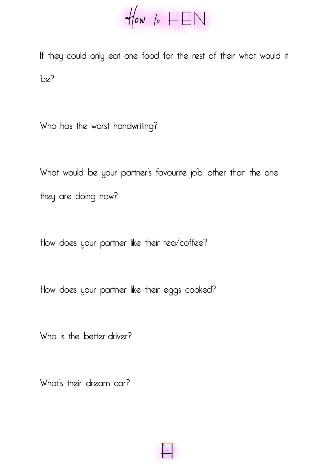$\forall$ low to  $HEN$ 

If they could only eat one food for the rest of their what would it be?

Who has the worst handwriting?

What would be your partner's favourite job, other than the one they are doing now?

How does your partner like their tea/coffee?

How does your partner like their eggs cooked?

Who is the better driver?

What's their dream car?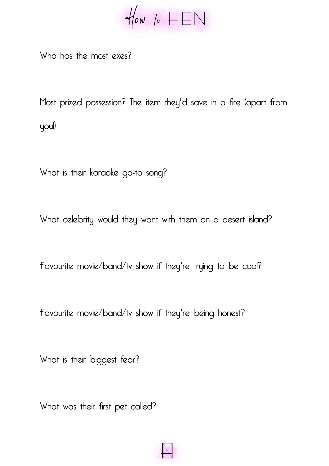$\forall$ low to  $HEN$ 

Who has the most exes?

Most prized possession? The item they'd save in a fire (apart from you!)

What is their karaoke go-to song?

What celebrity would they want with them on a desert island?

Favourite movie/band/tv show if they're trying to be cool?

Favourite movie/band/tv show if they're being honest?

What is their biggest fear?

What was their first pet called?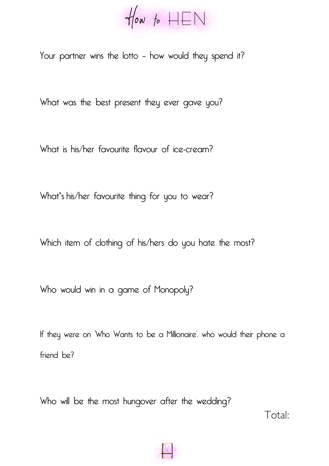$\forall$ low to  $HEN$ 

Your partner wins the lotto – how would they spend it?

What was the best present they ever gave you?

What is his/her favourite flavour of ice-cream?

What's his/her favourite thing for you to wear?

Which item of clothing of his/hers do you hate the most?

Who would win in a game of Monopoly?

If they were on 'Who Wants to be a Millionaire', who would their phone a friend be?

Who will be the most hungover after the wedding?

Total: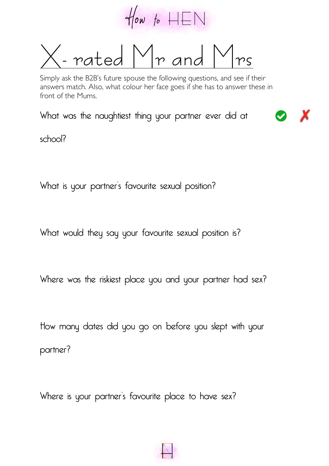

**X- rated Mr and Mrs**

Simply ask the B2B's future spouse the following questions, and see if their answers match. Also, what colour her face goes if she has to answer these in front of the Mums.

What was the naughtiest thing your partner ever did at

school?

What is your partner's favourite sexual position?

What would they say your favourite sexual position is?

Where was the riskiest place you and your partner had sex?

How many dates did you go on before you slept with your partner?

Where is your partner's favourite place to have sex?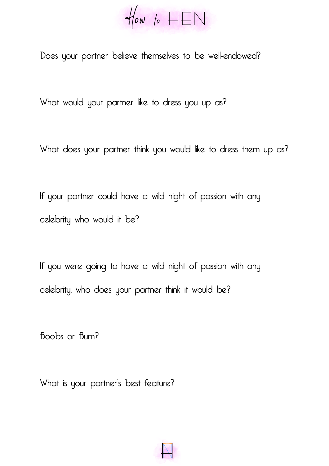$\forall$ low to  $HEN$ 

Does your partner believe themselves to be well-endowed?

What would your partner like to dress you up as?

What does your partner think you would like to dress them up as?

If your partner could have a wild night of passion with any celebrity who would it be?

If you were going to have a wild night of passion with any celebrity, who does your partner think it would be?

Boobs or Bum?

What is your partner's best feature?